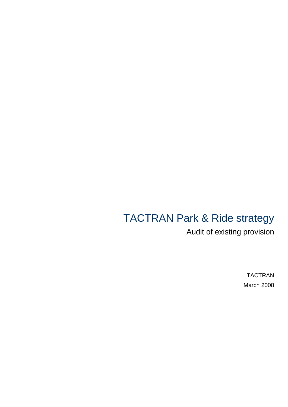# TACTRAN Park & Ride strategy

Audit of existing provision

 TACTRAN March 2008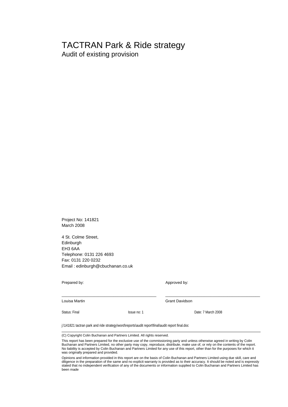# TACTRAN Park & Ride strategy

Audit of existing provision

Project No: 141821 March 2008

4 St. Colme Street, **Edinburgh** EH3 6AA Telephone: 0131 226 4693 Fax: 0131 220 0232 Email : edinburgh@cbuchanan.co.uk

| Prepared by:  |             | Approved by:          |  |
|---------------|-------------|-----------------------|--|
| Louisa Martin |             | <b>Grant Davidson</b> |  |
| Status: Final | Issue no: 1 | Date: 7 March 2008    |  |

j:\141821 tactran park and ride strategy\word\reports\audit report\final\audit report final.doc

(C) Copyright Colin Buchanan and Partners Limited. All rights reserved.

This report has been prepared for the exclusive use of the commissioning party and unless otherwise agreed in writing by Colin Buchanan and Partners Limited, no other party may copy, reproduce, distribute, make use of, or rely on the contents of the report. No liability is accepted by Colin Buchanan and Partners Limited for any use of this report, other than for the purposes for which it was originally prepared and provided.

Opinions and information provided in this report are on the basis of Colin Buchanan and Partners Limited using due skill, care and diligence in the preparation of the same and no explicit warranty is provided as to their accuracy. It should be noted and is expressly stated that no independent verification of any of the documents or information supplied to Colin Buchanan and Partners Limited has been made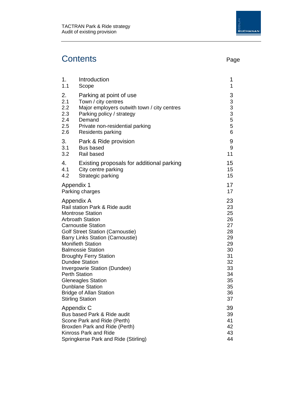

# Contents Page

| 1.  | Introduction                                                                                                                                                                                                                                                                                                                                                                                                                                                                                                         | 1                                                                                                  |
|-----|----------------------------------------------------------------------------------------------------------------------------------------------------------------------------------------------------------------------------------------------------------------------------------------------------------------------------------------------------------------------------------------------------------------------------------------------------------------------------------------------------------------------|----------------------------------------------------------------------------------------------------|
| 1.1 | Scope                                                                                                                                                                                                                                                                                                                                                                                                                                                                                                                | 1                                                                                                  |
| 2.  | Parking at point of use                                                                                                                                                                                                                                                                                                                                                                                                                                                                                              | 3                                                                                                  |
| 2.1 | Town / city centres                                                                                                                                                                                                                                                                                                                                                                                                                                                                                                  | $\mathbf{3}$                                                                                       |
| 2.2 | Major employers outwith town / city centres                                                                                                                                                                                                                                                                                                                                                                                                                                                                          | 3                                                                                                  |
| 2.3 | Parking policy / strategy                                                                                                                                                                                                                                                                                                                                                                                                                                                                                            | 3                                                                                                  |
| 2.4 | Demand                                                                                                                                                                                                                                                                                                                                                                                                                                                                                                               | 5                                                                                                  |
| 2.5 | Private non-residential parking                                                                                                                                                                                                                                                                                                                                                                                                                                                                                      | 5                                                                                                  |
| 2.6 | Residents parking                                                                                                                                                                                                                                                                                                                                                                                                                                                                                                    | 6                                                                                                  |
| 3.  | Park & Ride provision                                                                                                                                                                                                                                                                                                                                                                                                                                                                                                | 9                                                                                                  |
| 3.1 | <b>Bus based</b>                                                                                                                                                                                                                                                                                                                                                                                                                                                                                                     | $\boldsymbol{9}$                                                                                   |
| 3.2 | Rail based                                                                                                                                                                                                                                                                                                                                                                                                                                                                                                           | 11                                                                                                 |
| 4.  | Existing proposals for additional parking                                                                                                                                                                                                                                                                                                                                                                                                                                                                            | 15                                                                                                 |
| 4.1 | City centre parking                                                                                                                                                                                                                                                                                                                                                                                                                                                                                                  | 15                                                                                                 |
| 4.2 | Strategic parking                                                                                                                                                                                                                                                                                                                                                                                                                                                                                                    | 15                                                                                                 |
|     | Appendix 1<br>Parking charges                                                                                                                                                                                                                                                                                                                                                                                                                                                                                        | 17<br>17                                                                                           |
|     | Appendix A<br>Rail station Park & Ride audit<br><b>Montrose Station</b><br><b>Arbroath Station</b><br><b>Carnoustie Station</b><br><b>Golf Street Station (Carnoustie)</b><br><b>Barry Links Station (Carnoustie)</b><br><b>Monifieth Station</b><br><b>Balmossie Station</b><br><b>Broughty Ferry Station</b><br><b>Dundee Station</b><br>Invergowrie Station (Dundee)<br><b>Perth Station</b><br><b>Gleneagles Station</b><br><b>Dunblane Station</b><br><b>Bridge of Allan Station</b><br><b>Stirling Station</b> | 23<br>23<br>25<br>26<br>27<br>28<br>29<br>29<br>30<br>31<br>32<br>33<br>34<br>35<br>35<br>36<br>37 |
|     | Appendix C<br>Bus based Park & Ride audit<br>Scone Park and Ride (Perth)<br>Broxden Park and Ride (Perth)<br><b>Kinross Park and Ride</b><br>Springkerse Park and Ride (Stirling)                                                                                                                                                                                                                                                                                                                                    | 39<br>39<br>41<br>42<br>43<br>44                                                                   |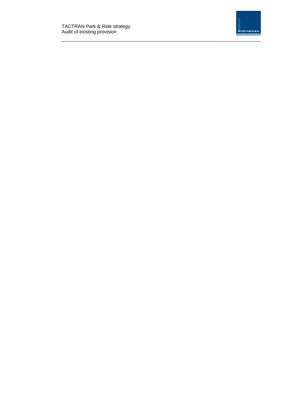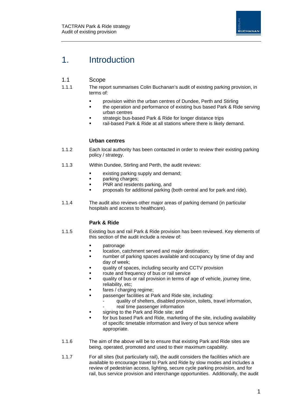

# <span id="page-6-0"></span>1. Introduction

# 1.1 Scope

- 1.1.1 The report summarises Colin Buchanan's audit of existing parking provision, in terms of:
	- **•** provision within the urban centres of Dundee, Perth and Stirling
	- **the operation and performance of existing bus based Park & Ride serving** urban centres
	- **strategic bus-based Park & Ride for longer distance trips**
	- rail-based Park & Ride at all stations where there is likely demand.

# **Urban centres**

- 1.1.2 Each local authority has been contacted in order to review their existing parking policy / strategy.
- 1.1.3 Within Dundee, Stirling and Perth, the audit reviews:
	- **EXISTING PARKING SUPPLY and demand;**
	- **parking charges:**
	- PNR and residents parking, and
	- proposals for additional parking (both central and for park and ride).
- 1.1.4 The audit also reviews other major areas of parking demand (in particular hospitals and access to healthcare).

# **Park & Ride**

- 1.1.5 Existing bus and rail Park & Ride provision has been reviewed. Key elements of this section of the audit include a review of:
	- patronage
	- location, catchment served and major destination;
	- number of parking spaces available and occupancy by time of day and day of week;
	- quality of spaces, including security and CCTV provision
	- route and frequency of bus or rail service
	- quality of bus or rail provision in terms of age of vehicle, journey time, reliability, etc;
	- fares / charging regime;
		- passenger facilities at Park and Ride site, including:
			- quality of shelters, disabled provision, toilets, travel information,
		- real time passenger information
	- signing to the Park and Ride site; and
	- for bus based Park and Ride, marketing of the site, including availability of specific timetable information and livery of bus service where appropriate.
- 1.1.6 The aim of the above will be to ensure that existing Park and Ride sites are being, operated, promoted and used to their maximum capability.
- 1.1.7 For all sites (but particularly rail), the audit considers the facilities which are available to encourage travel to Park and Ride by slow modes and includes a review of pedestrian access, lighting, secure cycle parking provision, and for rail, bus service provision and interchange opportunities. Additionally, the audit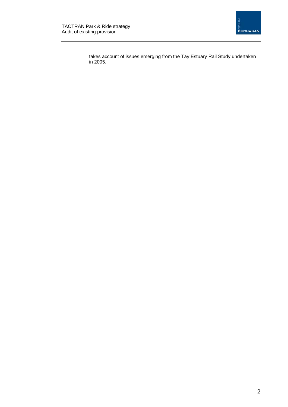

takes account of issues emerging from the Tay Estuary Rail Study undertaken in 2005.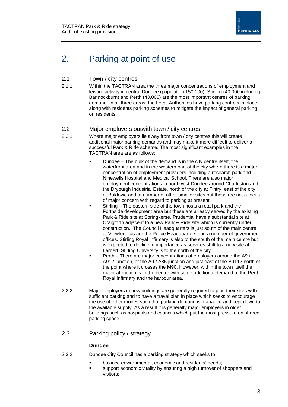

# <span id="page-8-0"></span>2. Parking at point of use

# 2.1 Town / city centres

2.1.1 Within the TACTRAN area the three major concentrations of employment and leisure activity in central Dundee (population 150,000), Stirling (40,000 including Bannockburn) and Perth (43,000) are the most important centres of parking demand. In all three areas, the Local Authorities have parking controls in place along with residents parking schemes to mitigate the impact of general parking on residents.

# 2.2 Major employers outwith town / city centres

- 2.2.1 Where major employers lie away from town / city centres this will create additional major parking demands and may make it more difficult to deliver a successful Park & Ride scheme. The most significant examples in the TACTRAN area are as follows:
	- **Dundee** The bulk of the demand is in the city centre itself, the waterfront area and in the western part of the city where there is a major concentration of employment providers including a research park and Ninewells Hospital and Medical School. There are also major employment concentrations in northwest Dundee around Charleston and the Dryburgh Industrial Estate, north of the city at Fintry, east of the city at Baldovie and at number of other smaller sites but these are not a focus of major concern with regard to parking at present.
	- Stirling The eastern side of the town hosts a retail park and the Forthside development area but these are already served by the existing Park & Ride site at Springkerse. Prudential have a substantial site at Craigforth adjacent to a new Park & Ride site which is currently under construction. The Council Headquarters is just south of the main centre at Viewforth as are the Police Headquarters and a number of government offices. Stirling Royal Infirmary is also to the south of the main centre but is expected to decline in importance as services shift to a new site at Larbert. Stirling University is to the north of the city.
	- **Perth There are major concentrations of employers around the A9 /** A912 junction, at the A9 / A85 junction and just east of the B9112 north of the point where it crosses the M90. However, within the town itself the major attraction is to the centre with some additional demand at the Perth Royal Infirmary and the harbour area.
- 2.2.2 Major employers in new buildings are generally required to plan their sites with sufficient parking and to have a travel plan in place which seeks to encourage the use of other modes such that parking demand is managed and kept down to the available supply. As a result it is generally major employers in older buildings such as hospitals and councils which put the most pressure on shared parking space.

# 2.3 Parking policy / strategy

# **Dundee**

- 2.3.2 Dundee City Council has a parking strategy which seeks to:
	- balance environmental, economic and residents' needs;
	- support economic vitality by ensuring a high turnover of shoppers and visitors;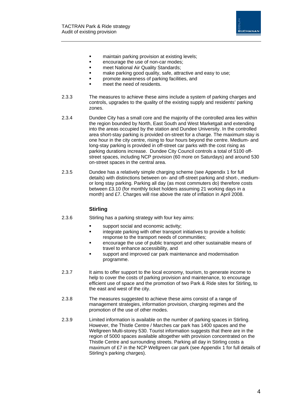

- maintain parking provision at existing levels;
- **EXECUTE A** encourage the use of non-car modes:
- **EXECUTE:** meet National Air Quality Standards;
- **nake parking good quality, safe, attractive and easy to use;**
- promote awareness of parking facilities, and
- meet the need of residents.
- 2.3.3 The measures to achieve these aims include a system of parking charges and controls, upgrades to the quality of the existing supply and residents' parking zones.
- 2.3.4 Dundee City has a small core and the majority of the controlled area lies within the region bounded by North, East South and West Marketgait and extending into the areas occupied by the station and Dundee University. In the controlled area short-stay parking is provided on-street for a charge. The maximum stay is one hour in the city centre, rising to four hours beyond the centre. Medium- and long-stay parking is provided in off-street car parks with the cost rising as parking durations increase. Dundee City Council controls a total of 5100 offstreet spaces, including NCP provision (60 more on Saturdays) and around 530 on-street spaces in the central area.
- 2.3.5 Dundee has a relatively simple charging scheme (see Appendix 1 for full details) with distinctions between on- and off-street parking and short-, mediumor long stay parking. Parking all day (as most commuters do) therefore costs between £3.10 (for monthly ticket holders assuming 21 working days in a month) and £7. Charges will rise above the rate of inflation in April 2008.

# **Stirling**

- 2.3.6 Stirling has a parking strategy with four key aims:
	- **support social and economic activity:**
	- **EXECT** integrate parking with other transport initiatives to provide a holistic response to the transport needs of communities;
	- encourage the use of public transport and other sustainable means of travel to enhance accessibility, and
	- support and improved car park maintenance and modernisation programme.
- 2.3.7 It aims to offer support to the local economy, tourism, to generate income to help to cover the costs of parking provision and maintenance, to encourage efficient use of space and the promotion of two Park & Ride sites for Stirling, to the east and west of the city.
- 2.3.8 The measures suggested to achieve these aims consist of a range of management strategies, information provision, charging regimes and the promotion of the use of other modes.
- 2.3.9 Limited information is available on the number of parking spaces in Stirling. However, the Thistle Centre / Marches car park has 1400 spaces and the Wellgreen Multi-storey 530. Tourist information suggests that there are in the region of 5000 spaces available altogether with provision concentrated on the Thistle Centre and surrounding streets. Parking all day in Stirling costs a maximum of £7 in the NCP Wellgreen car park (see Appendix 1 for full details of Stirling's parking charges).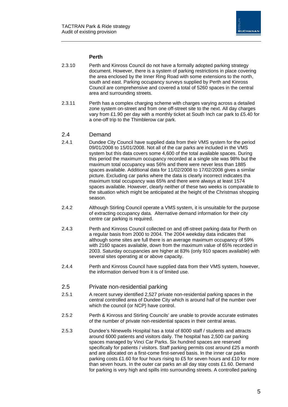

#### **Perth**

- <span id="page-10-0"></span>2.3.10 Perth and Kinross Council do not have a formally adopted parking strategy document. However, there is a system of parking restrictions in place covering the area enclosed by the Inner Ring Road with some extensions to the north, south and east. Parking occupancy surveys supplied by Perth and Kinross Council are comprehensive and covered a total of 5260 spaces in the central area and surrounding streets.
- 2.3.11 Perth has a complex charging scheme with charges varying across a detailed zone system on-street and from one off-street site to the next. All day charges vary from £1.90 per day with a monthly ticket at South Inch car park to £5.40 for a one-off trip to the Thimblerow car park.

# 2.4 Demand

- 2.4.1 Dundee City Council have supplied data from their VMS system for the period 09/01/2008 to 15/01/2008. Not all of the car parks are included in the VMS system but this data covers some 4,600 of the total available spaces. During this period the maximum occupancy recorded at a single site was 98% but the maximum total occupancy was 56% and there were never less than 1885 spaces available. Additional data for 11/02/2008 to 17/02/2008 gives a similar picture. Excluding car parks where the data is clearly incorrect indicates tha maximum total occupancy was 65% and there were always at least 1574 spaces available. However, clearly neither of these two weeks is comparable to the situation which might be anticipated at the height of the Christmas shopping season.
- 2.4.2 Although Stirling Council operate a VMS system, it is unsuitable for the purpose of extracting occupancy data. Alternative demand information for their city centre car parking is required.
- 2.4.3 Perth and Kinross Council collected on and off-street parking data for Perth on a regular basis from 2000 to 2004. The 2004 weekday data indicates that although some sites are full there is an average maximum occupancy of 59% with 2160 spaces available, down from the maximum value of 65% recorded in 2003. Saturday occupancies are higher at 83% (only 910 spaces available) with several sites operating at or above capacity.
- 2.4.4 Perth and Kinross Council have supplied data from their VMS system, however, the information derived from it is of limited use.
- 2.5 Private non-residential parking
- 2.5.1 A recent survey identified 2,527 private non-residential parking spaces in the central controlled area of Dundee City which is around half of the number over which the council (or NCP) have control.
- 2.5.2 Perth & Kinross and Stirling Councils' are unable to provide accurate estimates of the number of private non-residential spaces in their central areas.
- 2.5.3 Dundee's Ninewells Hospital has a total of 8000 staff / students and attracts around 6000 patients and visitors daily. The hospital has 2,500 car parking spaces managed by Vinci Car Parks. Six hundred spaces are reserved specifically for patients / visitors. Staff parking permits cost around £25 a month and are allocated on a first-come first-served basis. In the inner car parks parking costs £1.60 for four hours rising to £5 for seven hours and £10 for more than seven hours. In the outer car parks an all day stay costs £1.60. Demand for parking is very high and spills into surrounding streets. A controlled parking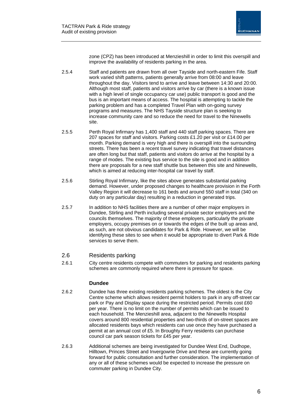

zone (CPZ) has been introduced at Menzieshill in order to limit this overspill and improve the availability of residents parking in the area.

- <span id="page-11-0"></span>2.5.4 Staff and patients are drawn from all over Tayside and north-eastern Fife. Staff work varied shift patterns, patients generally arrive from 08:00 and leave throughout the day. Visitors tend to arrive and leave between 14:30 and 20:00. Although most staff, patients and visitors arrive by car (there is a known issue with a high level of single occupancy car use) public transport is good and the bus is an important means of access. The hospital is attempting to tackle the parking problem and has a completed Travel Plan with on-going survey programs and measures. The NHS Tayside structure plan is seeking to increase community care and so reduce the need for travel to the Ninewells site.
- 2.5.5 Perth Royal Infirmary has 1,400 staff and 440 staff parking spaces. There are 207 spaces for staff and visitors. Parking costs £1.20 per visit or £14.00 per month. Parking demand is very high and there is overspill into the surrounding streets. There has been a recent travel survey indicating that travel distances are often long but that staff, patients and visitors do arrive at the hospital by a range of modes. The existing bus service to the site is good and in addition there are proposals for a new staff shuttle bus between this site and Ninewells, which is aimed at reducing inter-hospital car travel by staff.
- 2.5.6 Stirling Royal Infirmary, like the sites above generates substantial parking demand. However, under proposed changes to healthcare provision in the Forth Valley Region it will decrease to 161 beds and around 550 staff in total (340 on duty on any particular day) resulting in a reduction in generated trips.
- 2.5.7 In addition to NHS facilities there are a number of other major employers in Dundee, Stirling and Perth including several private sector employers and the councils themselves. The majority of these employers, particularly the private employers, occupy premises on or towards the edges of the built up areas and, as such, are not obvious candidates for Park & Ride. However, we will be identifying these sites to see when it would be appropriate to divert Park & Ride services to serve them.

#### 2.6 Residents parking

2.6.1 City centre residents compete with commuters for parking and residents parking schemes are commonly required where there is pressure for space.

# **Dundee**

- 2.6.2 Dundee has three existing residents parking schemes. The oldest is the City Centre scheme which allows resident permit holders to park in any off-street car park or Pay and Display space during the restricted period. Permits cost £60 per year. There is no limit on the number of permits which can be issued to each household. The Menzieshill area, adjacent to the Ninewells Hospital covers around 800 residential properties and two-thirds of on-street spaces are allocated residents bays which residents can use once they have purchased a permit at an annual cost of £5. In Broughty Ferry residents can purchase council car park season tickets for £45 per year.
- 2.6.3 Additional schemes are being investigated for Dundee West End, Dudhope, Hilltown, Princes Street and Invergowrie Drive and these are currently going forward for public consultation and further consideration. The implementation of any or all of these schemes would be expected to increase the pressure on commuter parking in Dundee City.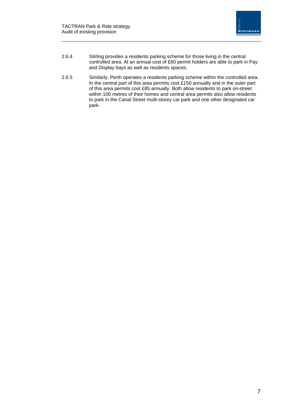

- 2.6.4 Stirling provides a residents parking scheme for those living in the central controlled area. At an annual cost of £60 permit holders are able to park in Pay and Display bays as well as residents spaces.
- 2.6.5 Similarly, Perth operates a residents parking scheme within the controlled area. In the central part of this area permits cost  $£150$  annually and in the outer part of this area permits cost £85 annually. Both allow residents to park on-street within 100 metres of their homes and central area permits also allow residents to park in the Canal Street multi-storey car park and one other designated car park.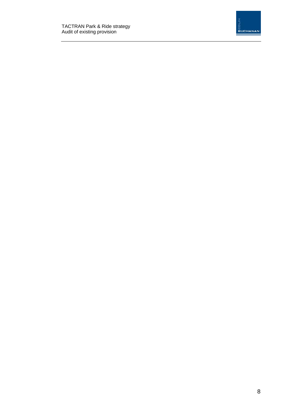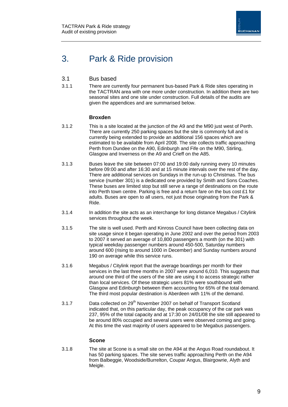

# <span id="page-14-0"></span>3. Park & Ride provision

# 3.1 Bus based

3.1.1 There are currently four permanent bus-based Park & Ride sites operating in the TACTRAN area with one more under construction. In addition there are two seasonal sites and one site under construction. Full details of the audits are given the appendices and are summarised below.

# **Broxden**

- 3.1.2 This is a site located at the junction of the A9 and the M90 just west of Perth. There are currently 250 parking spaces but the site is commonly full and is currently being extended to provide an additional 156 spaces which are estimated to be available from April 2008. The site collects traffic approaching Perth from Dundee on the A90, Edinburgh and Fife on the M90, Stirling, Glasgow and Inverness on the A9 and Crieff on the A85.
- 3.1.3 Buses leave the site between 07:00 and 19:00 daily running every 10 minutes before 09:00 and after 16:30 and at 15 minute intervals over the rest of the day. There are additional services on Sundays in the run-up to Christmas. The bus service (number 301) is a dedicated one provided by Smith and Sons Coaches. These buses are limited stop but still serve a range of destinations on the route into Perth town centre. Parking is free and a return fare on the bus cost £1 for adults. Buses are open to all users, not just those originating from the Park & Ride.
- 3.1.4 In addition the site acts as an interchange for long distance Megabus / Citylink services throughout the week.
- 3.1.5 The site is well used. Perth and Kinross Council have been collecting data on site usage since it began operating in June 2002 and over the period from 2003 to 2007 it served an average of 10,800 passengers a month (on the 301) with typical weekday passenger numbers around 450-500, Saturday numbers around 600 (rising to around 1000 in December) and Sunday numbers around 190 on average while this service runs.
- 3.1.6 Megabus / Citylink report that the average boardings per month for their services in the last three months in 2007 were around 6,010. This suggests that around one third of the users of the site are using it to access strategic rather than local services. Of these strategic users 81% were southbound with Glasgow and Edinburgh between them accounting for 65% of the total demand. The third most popular destination is Aberdeen with 11% of the demand.
- 3.1.7 Data collected on 29<sup>th</sup> November 2007 on behalf of Transport Scotland indicated that, on this particular day, the peak occupancy of the car park was 237, 95% of the total capacity and at 17:30 on 24/01/08 the site still appeared to be around 80% occupied and several users were observed coming and going. At this time the vast majority of users appeared to be Megabus passengers.

#### **Scone**

3.1.8 The site at Scone is a small site on the A94 at the Angus Road roundabout. It has 50 parking spaces. The site serves traffic approaching Perth on the A94 from Balbeggie, Woodside/Burrelton, Coupar Angus, Blairgowrie, Alyth and Meigle.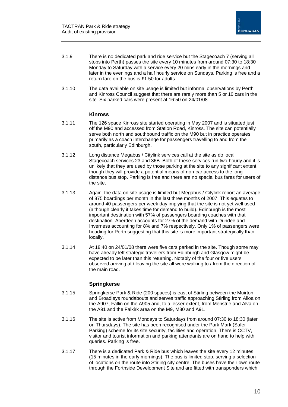

- 3.1.9 There is no dedicated park and ride service but the Stagecoach 7 (serving all stops into Perth) passes the site every 10 minutes from around 07:30 to 18:30 Monday to Saturday with a service every 20 mins early in the mornings and later in the evenings and a half hourly service on Sundays. Parking is free and a return fare on the bus is £1.50 for adults.
- 3.1.10 The data available on site usage is limited but informal observations by Perth and Kinross Council suggest that there are rarely more than 5 or 10 cars in the site. Six parked cars were present at 16:50 on 24/01/08.

# **Kinross**

- 3.1.11 The 126 space Kinross site started operating in May 2007 and is situated just off the M90 and accessed from Station Road, Kinross. The site can potentially serve both north and southbound traffic on the M90 but in practice operates primarily as a coach interchange for passengers travelling to and from the south, particularly Edinburgh.
- 3.1.12 Long distance Megabus / Citylink services call at the site as do local Stagecoach services 23 and 36B. Both of these services run two-hourly and it is unlikely that they are used by those parking at the site to any significant extent though they will provide a potential means of non-car access to the longdistance bus stop. Parking is free and there are no special bus fares for users of the site.
- 3.1.13 Again, the data on site usage is limited but Megabus / Citylink report an average of 875 boardings per month in the last three months of 2007. This equates to around 40 passengers per week day implying that the site is not yet well used (although clearly it takes time for demand to build). Edinburgh is the most important destination with 57% of passengers boarding coaches with that destination. Aberdeen accounts for 27% of the demand with Dundee and Inverness accounting for 8% and 7% respectively. Only 1% of passengers were heading for Perth suggesting that this site is more important strategically than locally.
- 3.1.14 At 18:40 on 24/01/08 there were five cars parked in the site. Though some may have already left strategic travellers from Edinburgh and Glasgow might be expected to be later than this returning. Notably of the four or five users observed arriving at / leaving the site all were walking to / from the direction of the main road.

# **Springkerse**

- 3.1.15 Springkerse Park & Ride (200 spaces) is east of Stirling between the Muirton and Broadleys roundabouts and serves traffic approaching Stirling from Alloa on the A907, Fallin on the A905 and, to a lesser extent, from Menstrie and Alva on the A91 and the Falkirk area on the M9, M80 and A91.
- 3.1.16 The site is active from Mondays to Saturdays from around 07:30 to 18:30 (later on Thursdays). The site has been recognised under the Park Mark (Safer Parking) scheme for its site security, facilities and operation. There is CCTV, visitor and tourist information and parking attendants are on hand to help with queries. Parking is free.
- 3.1.17 There is a dedicated Park & Ride bus which leaves the site every 12 minutes (15 minutes in the early mornings). The bus is limited stop, serving a selection of locations on the route into Stirling city centre. The buses have their own route through the Forthside Development Site and are fitted with transponders which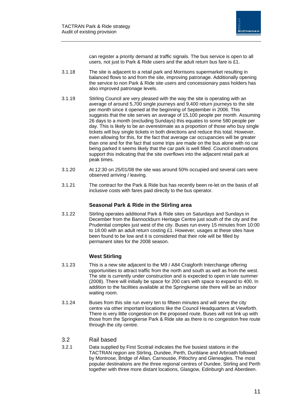

can register a priority demand at traffic signals. The bus service is open to all users, not just to Park & Ride users and the adult return bus fare is £1.

- <span id="page-16-0"></span>3.1.18 The site is adjacent to a retail park and Morrisons supermarket resulting in balanced flows to and from the site, improving patronage. Additionally opening the service to non Park & Ride site users and concessionary pass holders has also improved patronage levels.
- 3.1.19 Stirling Council are very pleased with the way the site is operating with an average of around 5,700 single journeys and 9,400 return journeys to the site per month since it opened at the beginning of September in 2006. This suggests that the site serves an average of 15,100 people per month. Assuming 26 days to a month (excluding Sundays) this equates to some 580 people per day. This is likely to be an overestimate as a proportion of those who buy single tickets will buy single tickets in both directions and reduce this total. However, even allowing for this, for the fact that average car occupancies will be greater than one and for the fact that some trips are made on the bus alone with no car being parked it seems likely that the car park is well filled. Council observations support this indicating that the site overflows into the adjacent retail park at peak times.
- 3.1.20 At 12:30 on 25/01/08 the site was around 50% occupied and several cars were observed arriving / leaving.
- 3.1.21 The contract for the Park & Ride bus has recently been re-let on the basis of all inclusive costs with fares paid directly to the bus operator.

# **Seasonal Park & Ride in the Stirling area**

3.1.22 Stirling operates additional Park & Ride sites on Saturdays and Sundays in December from the Bannockburn Heritage Centre just south of the city and the Prudential complex just west of the city. Buses run every 15 minutes from 10:00 to 18:00 with an adult return costing £1. However, usages at these sites have been found to be low and it is considered that their role will be filled by permanent sites for the 2008 season.

# **West Stirling**

- 3.1.23 This is a new site adjacent to the M9 / A84 Craigforth Interchange offering opportunities to attract traffic from the north and south as well as from the west. The site is currently under construction and is expected to open in late summer (2008). There will initially be space for 200 cars with space to expand to 400. In addition to the facilities available at the Springkerse site there will be an indoor waiting room.
- 3.1.24 Buses from this site run every ten to fifteen minutes and will serve the city centre via other important locations like the Council Headquarters at Viewforth. There is very little congestion on the proposed route. Buses will not link up with those from the Springkerse Park & Ride site as there is no congestion free route through the city centre.

# 3.2 Rail based

3.2.1 Data supplied by First Scotrail indicates the five busiest stations in the TACTRAN region are Stirling, Dundee, Perth, Dunblane and Arbroath followed by Montrose, Bridge of Allan, Carnoustie, Pitlochry and Gleneagles. The most popular destinations are the three regional centres of Dundee, Stirling and Perth together with three more distant locations, Glasgow, Edinburgh and Aberdeen.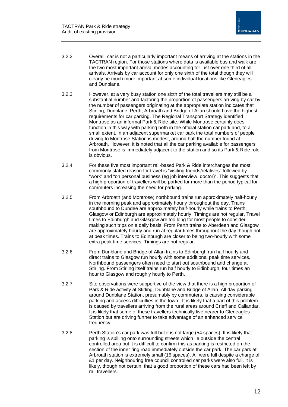

- 3.2.2 Overall, car is not a particularly important means of arriving at the stations in the TACTRAN region. For those stations where data is available bus and walk are the two most important arrival modes accounting for just over one third of all arrivals. Arrivals by car account for only one sixth of the total though they will clearly be much more important at some individual locations like Gleneagles and Dunblane.
- 3.2.3 However, at a very busy station one sixth of the total travellers may still be a substantial number and factoring the proportion of passengers arriving by car by the number of passengers originating at the appropriate station indicates that Stirling, Dunblane, Perth, Arbroath and Bridge of Allan should have the highest requirements for car parking. The Regional Transport Strategy identified Montrose as an informal Park & Ride site. While Montrose certainly does function in this way with parking both in the official station car park and, to a small extent, in an adjacent supermarket car park the total numbers of people driving to Montrose Station is modest, around half the number found at Arbroath. However, it is noted that all the car parking available for passengers from Montrose is immediately adjacent to the station and so its Park & Ride role is obvious.
- 3.2.4 For these five most important rail-based Park & Ride interchanges the most commonly stated reason for travel is "visiting friends/relatives" followed by "work" and "on personal business (eg job interview, doctor)". This suggests that a high proportion of travellers will be parked for more than the period typical for commuters increasing the need for parking.
- 3.2.5 From Arbroath (and Montrose) northbound trains run approximately half-hourly in the morning peak and approximately hourly throughout the day. Trains southbound to Dundee are approximately half-hourly while trains to Perth, Glasgow or Edinburgh are approximately hourly. Timings are not regular. Travel times to Edinburgh and Glasgow are too long for most people to consider making such trips on a daily basis. From Perth trains to Aberdeen and Glasgow are approximately hourly and run at regular times throughout the day though not at peak times. Trains to Edinburgh are closer to being two-hourly with some extra peak time services. Timings are not regular.
- 3.2.6 From Dunblane and Bridge of Allan trains to Edinburgh run half hourly and direct trains to Glasgow run hourly with some additional peak time services. Northbound passengers often need to start out southbound and change at Stirling. From Stirling itself trains run half hourly to Edinburgh, four times an hour to Glasgow and roughly hourly to Perth.
- 3.2.7 Site observations were supportive of the view that there is a high proportion of Park & Ride activity at Stirling, Dunblane and Bridge of Allan. All day parking around Dunblane Station, presumably by commuters, is causing considerable parking and access difficulties in the town. It is likely that a part of this problem is caused by travellers arriving from the rural areas around Crieff and Callandar. It is likely that some of these travellers technically live nearer to Gleneagles Station but are driving further to take advantage of an enhanced service frequency.
- 3.2.8 Perth Station's car park was full but it is not large (54 spaces). It is likely that parking is spilling onto surrounding streets which lie outside the central controlled area but it is difficult to confirm this as parking is restricted on the section of the inner ring road immediately outside the car park. The car park at Arbroath station is extremely small (15 spaces). All were full despite a charge of £1 per day. Neighbouring free council controlled car parks were also full. It is likely, though not certain, that a good proportion of these cars had been left by rail travellers.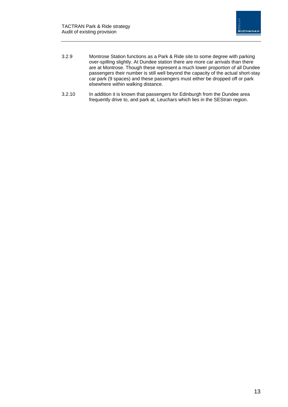

- 3.2.9 Montrose Station functions as a Park & Ride site to some degree with parking over-spilling slightly. At Dundee station there are more car arrivals than there are at Montrose. Though these represent a much lower proportion of all Dundee passengers their number is still well beyond the capacity of the actual short-stay car park (9 spaces) and these passengers must either be dropped off or park elsewhere within walking distance.
- 3.2.10 In addition it is known that passengers for Edinburgh from the Dundee area frequently drive to, and park at, Leuchars which lies in the SEStran region.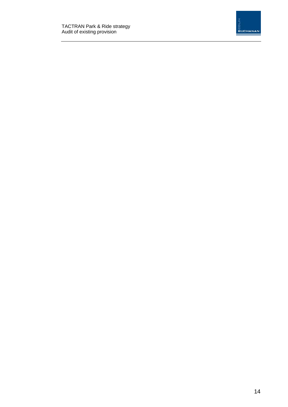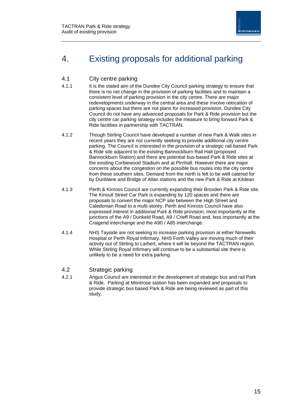

# <span id="page-20-0"></span>4. Existing proposals for additional parking

# 4.1 City centre parking

- 4.1.1 It is the stated aim of the Dundee City Council parking strategy to ensure that there is no net change in the provision of parking facilities and to maintain a consistent level of parking provision in the city centre. There are major redevelopments underway in the central area and these involve relocation of parking spaces but there are not plans for increased provision. Dundee City Council do not have any advanced proposals for Park & Ride provision but the city centre car parking strategy includes the measure to bring forward Park & Ride facilities in partnership with TACTRAN.
- 4.1.2 Though Stirling Council have developed a number of new Park & Walk sites in recent years they are not currently seeking to provide additional city centre parking. The Council is interested in the provision of a strategic rail-based Park & Ride site adjacent to the existing Bannockburn Rail Halt (proposed Bannockburn Station) and there are potential bus-based Park & Ride sites at the existing Corbiewood Stadium and at Pirnhall. However there are major concerns about the congestion on the possible bus routes into the city centre from these southern sites. Demand from the north is felt to be well catered for by Dunblane and Bridge of Allan stations and the new Park & Ride at Kildean.
- 4.1.3 Perth & Kinross Council are currently expanding their Broxden Park & Ride site. The Kinoull Street Car Park is expanding by 120 spaces and there are proposals to convert the major NCP site between the High Street and Caledonian Road to a multi-storey. Perth and Kinross Council have also expressed interest in additional Park & Ride provision, most importantly at the junctions of the A9 / Dunkeld Road, A9 / Crieff Road and, less importantly at the Craigend interchange and the A90 / A85 interchange.
- 4.1.4 NHS Tayside are not seeking to increase parking provision at either Ninewells Hospital or Perth Royal Infirmary. NHS Forth Valley are moving much of their activity out of Stirling to Larbert, where it will lie beyond the TACTRAN region. While Stirling Royal Infirmary will continue to be a substantial site there is unlikely to be a need for extra parking.
- 4.2 Strategic parking
- 4.2.1 Angus Council are interested in the development of strategic bus and rail Park & Ride. Parking at Montrose station has been expanded and proposals to provide strategic bus based Park & Ride are being reviewed as part of this study.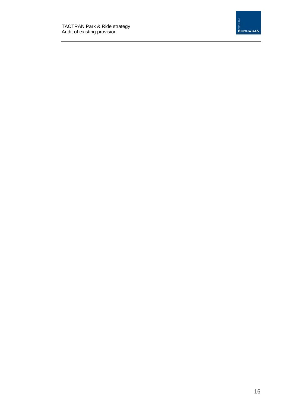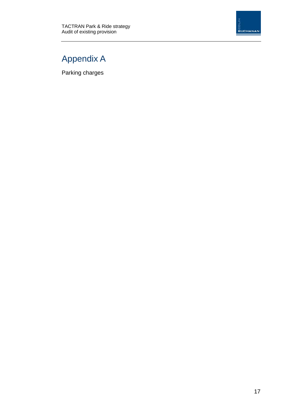

# <span id="page-22-0"></span>Appendix A

Parking charges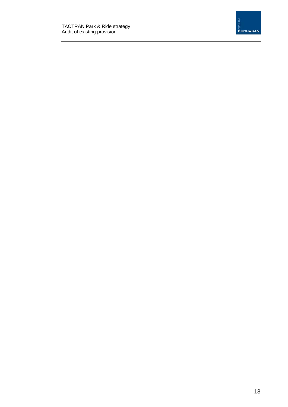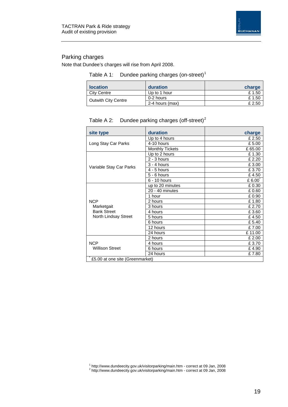

# Parking charges

Note that Dundee's charges will rise from April 2008.

# Table A [1](#page-24-0): Dundee parking charges (on-street)<sup>1</sup>

| <b>location</b>            | duration        | charge |
|----------------------------|-----------------|--------|
| <b>City Centre</b>         | Up to 1 hour    | £1.50  |
| <b>Outwith City Centre</b> | 0-2 hours       | £1.50  |
|                            | 2-4 hours (max) | £ 2.50 |

| Table A 2: Dundee parking charges (off-street) <sup>2</sup> |  |
|-------------------------------------------------------------|--|
|                                                             |  |

| site type                       | duration               | charge |  |
|---------------------------------|------------------------|--------|--|
| Long Stay Car Parks             | Up to 4 hours          | £ 2.50 |  |
|                                 | 4-10 hours             | £5.00  |  |
|                                 | <b>Monthly Tickets</b> | £65.00 |  |
|                                 | Up to 2 hours          | £1.30  |  |
|                                 | $2 - 3$ hours          | £ 2.20 |  |
|                                 | $3 - 4$ hours          | £3.00  |  |
| Variable Stay Car Parks         | $4 - 5$ hours          | £3.70  |  |
|                                 | $5 - 6$ hours          | £4.50  |  |
|                                 | 6 - 10 hours           | £6.00  |  |
|                                 | up to 20 minutes       | £0.30  |  |
|                                 | 20 - 40 minutes        | £0.60  |  |
|                                 | 1 hour                 | £0.90  |  |
| <b>NCP</b>                      | 2 hours                | £1.80  |  |
| Marketgait                      | 3 hours                | £ 2.70 |  |
| <b>Bank Street</b>              | 4 hours                | £3.60  |  |
| North Lindsay Street            | 5 hours                | £4.50  |  |
|                                 | 6 hours                | £5.40  |  |
|                                 | 12 hours               | £7.00  |  |
|                                 | 24 hours               | £11.00 |  |
| <b>NCP</b>                      | 2 hours                | £ 2.00 |  |
|                                 | 4 hours                | £3.70  |  |
| <b>Willison Street</b>          | 6 hours                | £4.90  |  |
|                                 | 24 hours               | £7.80  |  |
| £5.00 at one site (Greenmarket) |                        |        |  |

<span id="page-24-1"></span><span id="page-24-0"></span>1 <http://www.dundeecity.gov.uk/visitorparking/main.htm>- correct at 09 Jan, 2008  $^2$  http://www.dundeecity.gov.uk/visitorparking/main.htm - correct at 09 Jan, 2008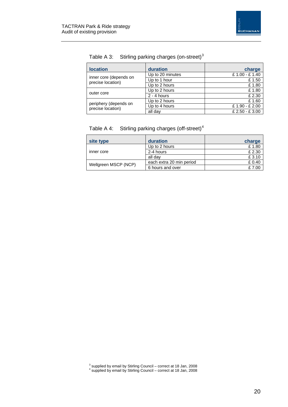

|  | Table A 3: Stirling parking charges (on-street) <sup>3</sup> |  |
|--|--------------------------------------------------------------|--|
|--|--------------------------------------------------------------|--|

| <b>location</b>                             | duration         | charge            |
|---------------------------------------------|------------------|-------------------|
| inner core (depends on<br>precise location) | Up to 20 minutes | £ 1.00 - £ 1.40   |
|                                             | Up to 1 hour     | £1.50             |
|                                             | Up to 2 hours    | £1.80             |
| outer core                                  | Up to 2 hours    | £1.80             |
|                                             | $2 - 4$ hours    | £ 2.30            |
| periphery (depends on<br>precise location)  | Up to 2 hours    | £1.60             |
|                                             | Up to 4 hours    | £1.90 - £2.00     |
|                                             | all day          | £ $2.50 - E 3.00$ |

Table A [4](#page-25-1): Stirling parking charges (off-street)<sup>4</sup>

| site type            | duration                 | charge |
|----------------------|--------------------------|--------|
| inner core           | Up to 2 hours            | £1.80  |
|                      | 2-4 hours                | £ 2.30 |
|                      | all dav                  | £3.10  |
| Wellgreen MSCP (NCP) | each extra 20 min period | £0.40  |
|                      | 6 hours and over         | £7.00  |

<span id="page-25-1"></span><span id="page-25-0"></span><sup>3</sup> supplied by email by Stirling Council – correct at 18 Jan, 2008<br><sup>4</sup> supplied by email by Stirling Council – correct at 18 Jan, 2008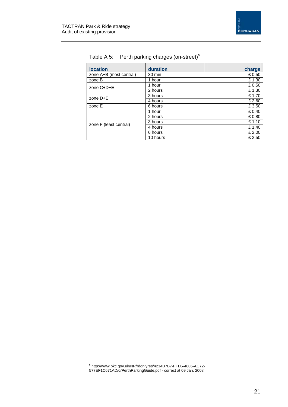

| <b>location</b>         | duration | charge |
|-------------------------|----------|--------|
| zone A+B (most central) | 30 min   | £0.50  |
| zone B                  | 1 hour   | £1.30  |
| zone $C+D+E$            | 1 hour   | £0.50  |
|                         | 2 hours  | £1.30  |
| zone $D+E$              | 3 hours  | £1.70  |
|                         | 4 hours  | £ 2.60 |
| zone E                  | 6 hours  | £3.50  |
| zone F (least central)  | 1 hour   | £0.40  |
|                         | 2 hours  | £0.80  |
|                         | 3 hours  | £1.10  |
|                         | 4 hours  | £1.40  |
|                         | 6 hours  | £ 2.00 |
|                         | 10 hours | £ 2.50 |

# Table A 5: Perth parking charges (on-street)**[5](#page-26-0)**

<span id="page-26-0"></span><sup>5</sup> [http://www.pkc.gov.uk/NR/rdonlyres/4214B7B7-FFD5-4805-AC72-](http://www.pkc.gov.uk/NR/rdonlyres/4214B7B7-FFD5-4805-AC72-577EF1C671AD/0/PerthParkingGuide.pdf) [577EF1C671AD/0/PerthParkingGuide.pdf](http://www.pkc.gov.uk/NR/rdonlyres/4214B7B7-FFD5-4805-AC72-577EF1C671AD/0/PerthParkingGuide.pdf) - correct at 09 Jan, 2008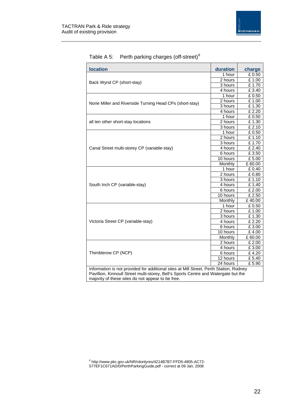

| <b>location</b>                                                                                                                                                                                                                    | duration             | charge              |
|------------------------------------------------------------------------------------------------------------------------------------------------------------------------------------------------------------------------------------|----------------------|---------------------|
|                                                                                                                                                                                                                                    | 1 hour               | £0.50               |
| Back Wynd CP (short-stay)                                                                                                                                                                                                          | 2 hours              | £1.00               |
|                                                                                                                                                                                                                                    | 3 hours              | £1.70               |
|                                                                                                                                                                                                                                    | 4 hours              | £ 3.40              |
|                                                                                                                                                                                                                                    | 1 hour               | £0.50               |
|                                                                                                                                                                                                                                    | 2 hours              | £1.00               |
| Norie Miller and Riverside Turning Head CPs (short-stay)                                                                                                                                                                           | 3 hours              | £1.30               |
|                                                                                                                                                                                                                                    | 4 hours              | £2.20               |
|                                                                                                                                                                                                                                    | 1 hour               | £0.50               |
| all ten other short-stay locations                                                                                                                                                                                                 | 2 hours              | £1.30               |
|                                                                                                                                                                                                                                    | 3 hours              | £ 2.10              |
|                                                                                                                                                                                                                                    | 1 hour               | £0.50               |
|                                                                                                                                                                                                                                    | 2 hours              | £1.10               |
|                                                                                                                                                                                                                                    | 3 hours              | £1.70               |
| Canal Street multi-storey CP (variable-stay)                                                                                                                                                                                       | 4 hours              | £2.40               |
|                                                                                                                                                                                                                                    | 6 hours              | £3.50               |
|                                                                                                                                                                                                                                    | 10 hours             | £5.00               |
|                                                                                                                                                                                                                                    | Monthly              | £60.00              |
|                                                                                                                                                                                                                                    | 1 hour               | £0.40               |
|                                                                                                                                                                                                                                    | 2 hours              | £0.80               |
|                                                                                                                                                                                                                                    | 3 hours              | £1.10               |
| South Inch CP (variable-stay)                                                                                                                                                                                                      | $\overline{4}$ hours | £ 1.40              |
|                                                                                                                                                                                                                                    | 6 hours              | $\overline{£}$ 2.00 |
|                                                                                                                                                                                                                                    | 10 hours             | £2.50               |
|                                                                                                                                                                                                                                    | Monthly              | £40.00              |
|                                                                                                                                                                                                                                    | 1 hour               | £0.50               |
|                                                                                                                                                                                                                                    | 2 hours              | £1.00               |
|                                                                                                                                                                                                                                    | 3 hours              | £1.30               |
| Victoria Street CP (variable-stay)                                                                                                                                                                                                 | 4 hours              | £2.20               |
|                                                                                                                                                                                                                                    | 6 hours              | £3.00               |
|                                                                                                                                                                                                                                    | 10 hours             | £4.00               |
|                                                                                                                                                                                                                                    | Monthly              | £60.00              |
|                                                                                                                                                                                                                                    | 2 hours              | £ 2.00              |
|                                                                                                                                                                                                                                    | 4 hours              | $\overline{E}$ 3.00 |
| Thimblerow CP (NCP)                                                                                                                                                                                                                | 6 hours              | £4.20               |
|                                                                                                                                                                                                                                    | 12 hours             | £5.40               |
|                                                                                                                                                                                                                                    | 24 hours             | £5.90               |
| Information is not provided for additional sites at Mill Street, Perth Station, Rodney<br>Pavillion, Kinnoull Street multi-storey, Bell's Sports Centre and Watergate but the<br>majority of these sites do not appear to be free. |                      |                     |

<span id="page-27-0"></span><sup>6</sup> [http://www.pkc.gov.uk/NR/rdonlyres/4214B7B7-FFD5-4805-AC72-](http://www.pkc.gov.uk/NR/rdonlyres/4214B7B7-FFD5-4805-AC72-577EF1C671AD/0/PerthParkingGuide.pdf) [577EF1C671AD/0/PerthParkingGuide.pdf](http://www.pkc.gov.uk/NR/rdonlyres/4214B7B7-FFD5-4805-AC72-577EF1C671AD/0/PerthParkingGuide.pdf) - correct at 09 Jan, 2008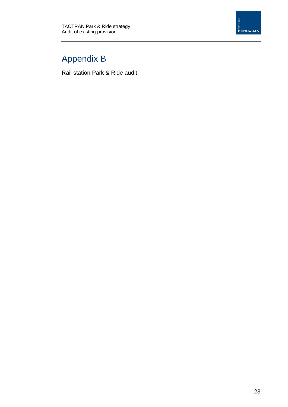

# <span id="page-28-0"></span>Appendix B

Rail station Park & Ride audit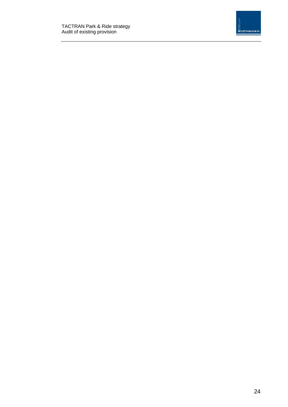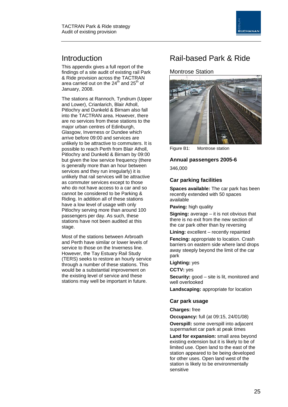

# <span id="page-30-0"></span>Introduction

This appendix gives a full report of the findings of a site audit of existing rail Park & Ride provision across the TACTRAN area carried out on the  $24<sup>th</sup>$  and  $25<sup>th</sup>$  of January, 2008.

The stations at Rannoch, Tyndrum (Upper and Lower), Crianlarich, Blair Atholl, Pitlochry and Dunkeld & Birnam also fall into the TACTRAN area. However, there are no services from these stations to the major urban centres of Edinburgh, Glasgow, Inverness or Dundee which arrive before 09:00 and services are unlikely to be attractive to commuters. It is possible to reach Perth from Blair Atholl, Pitlochry and Dunkeld & Birnam by 09:00 but given the low service frequency (there is generally more than an hour between services and they run irregularly) it is unlikely that rail services will be attractive as commuter services except to those who do not have access to a car and so cannot be considered to be Parking & Riding. In addition all of these stations have a low level of usage with only Pitlochry serving more than around 100 passengers per day. As such, these stations have not been audited at this stage.

Most of the stations between Arbroath and Perth have similar or lower levels of service to those on the Inverness line. However, the Tay Estuary Rail Study (TERS) seeks to restore an hourly service through a number of these stations. This would be a substantial improvement on the existing level of service and these stations may well be important in future.

# Rail-based Park & Ride

# Montrose Station



Figure B1: Montrose station

# **Annual passengers 2005-6**

346,000

# **Car parking facilities**

**Spaces available:** The car park has been recently extended with 50 spaces available

**Paving:** high quality

**Signing:** average – it is not obvious that there is no exit from the new section of the car park other than by reversing

**Lining:** excellent – recently repainted

**Fencing:** appropriate to location. Crash barriers on eastern side where land drops away steeply beyond the limit of the car park

**Lighting:** yes

**CCTV:** yes

**Security:** good – site is lit, monitored and well overlooked

**Landscaping:** appropriate for location

# **Car park usage**

**Charges:** free

**Occupancy:** full (at 09:15, 24/01/08)

**Overspill:** some overspill into adjacent supermarket car park at peak times

**Land for expansion:** small area beyond existing extension but it is likely to be of limited use. Open land to the east of the station appeared to be being developed for other uses. Open land west of the station is likely to be environmentally sensitive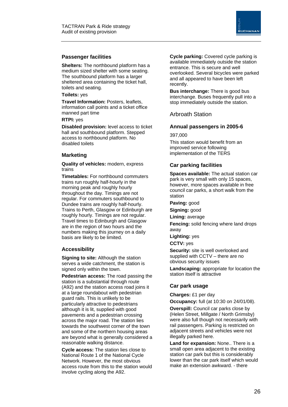

# <span id="page-31-0"></span>**Passenger facilities**

**Shelters:** The northbound platform has a medium sized shelter with some seating. The southbound platform has a larger sheltered area containing the ticket hall, toilets and seating.

#### **Toilets:** yes

**Travel Information:** Posters, leaflets, information call points and a ticket office manned part time

#### **RTPI:** yes

**Disabled provision:** level access to ticket hall and southbound platform. Stepped access to northbound platform. No disabled toilets

# **Marketing**

**Quality of vehicles:** modern, express trains

**Timetables:** For northbound commuters trains run roughly half-hourly in the morning peak and roughly hourly throughout the day. Timings are not regular. For commuters southbound to Dundee trains are roughly half-hourly. Trains to Perth, Glasgow or Edinburgh are roughly hourly. Timings are not regular. Travel times to Edinburgh and Glasgow are in the region of two hours and the numbers making this journey on a daily basis are likely to be limited.

# **Accessibility**

**Signing to site:** Although the station serves a wide catchment, the station is signed only within the town.

**Pedestrian access:** The road passing the station is a substantial through route (A92) and the station access road joins it at a large roundabout with pedestrian guard rails. This is unlikely to be particularly attractive to pedestrians although it is lit, supplied with good pavements and a pedestrian crossing across the major road. The station lies towards the southwest corner of the town and some of the northern housing areas are beyond what is generally considered a reasonable walking distance.

**Cycle access:** The station lies close to National Route 1 of the National Cycle Network. However, the most obvious access route from this to the station would involve cycling along the A92.

**Cycle parking:** Covered cycle parking is available immediately outside the station entrance. This is secure and well overlooked. Several bicycles were parked and all appeared to have been left recently.

**Bus interchange:** There is good bus interchange. Buses frequently pull into a stop immediately outside the station.

# Arbroath Station

#### **Annual passengers in 2005-6**

397,000

This station would benefit from an improved service following implementation of the TERS

# **Car parking facilities**

**Spaces available:** The actual station car park is very small with only 15 spaces, however, more spaces available in free council car parks, a short walk from the station

**Paving:** good

**Signing:** good

**Lining:** average

**Fencing:** solid fencing where land drops away

**Lighting:** yes

**CCTV:** yes

**Security:** site is well overlooked and supplied with CCTV – there are no obvious security issues

**Landscaping:** appropriate for location the station itself is attractive

# **Car park usage**

**Charges:** £1 per day

**Occupancy:** full (at 10:30 on 24/01/08).

**Overspill:** Council car parks close by (Helen Street, Millgate / North Grimsby) were also full though not necessarily with rail passengers. Parking is restricted on adjacent streets and vehicles were not illegally parked here.

**Land for expansion:** None.. There is a small open area adjacent to the existing station car park but this is considerably lower than the car park itself which would make an extension awkward. - there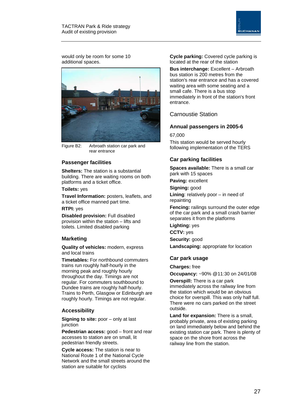

<span id="page-32-0"></span>would only be room for some 10 additional spaces.



Figure B2: Arbroath station car park and rear entrance

#### **Passenger facilities**

**Shelters:** The station is a substantial building. There are waiting rooms on both platforms and a ticket office.

#### **Toilets:** yes

**Travel Information:** posters, leaflets, and a ticket office manned part time.

**RTPI:** yes

**Disabled provision:** Full disabled provision within the station – lifts and toilets. Limited disabled parking

#### **Marketing**

**Quality of vehicles:** modern, express and local trains

**Timetables:** For northbound commuters trains run roughly half-hourly in the morning peak and roughly hourly throughout the day. Timings are not regular. For commuters southbound to Dundee trains are roughly half-hourly. Trains to Perth, Glasgow or Edinburgh are roughly hourly. Timings are not regular.

#### **Accessibility**

**Signing to site:** poor – only at last junction

**Pedestrian access:** good – front and rear accesses to station are on small, lit pedestrian friendly streets.

**Cycle access:** The station is near to National Route 1 of the National Cycle Network and the small streets around the station are suitable for cyclists

**Cycle parking:** Covered cycle parking is located at the rear of the station

**Bus interchange:** Excellent – Arbroath bus station is 200 metres from the station's rear entrance and has a covered waiting area with some seating and a small cafe. There is a bus stop immediately in front of the station's front entrance.

# Carnoustie Station

#### **Annual passengers in 2005-6**

67,000

This station would be served hourly following implementation of the TERS

#### **Car parking facilities**

**Spaces available:** There is a small car park with 15 spaces

**Paving:** excellent

**Signing:** good

**Lining**: relatively poor – in need of repainting

**Fencing:** railings surround the outer edge of the car park and a small crash barrier separates it from the platforms

**Lighting:** yes

**CCTV:** yes

**Security:** good

**Landscaping:** appropriate for location

#### **Car park usage**

#### **Charges:** free

**Occupancy:** ~90% @11:30 on 24/01/08

**Overspill:** There is a car park immediately across the railway line from the station which would be an obvious choice for overspill. This was only half full. There were no cars parked on the street outside.

**Land for expansion:** There is a small, probably private, area of existing parking on land immediately below and behind the existing station car park. There is plenty of space on the shore front across the railway line from the station.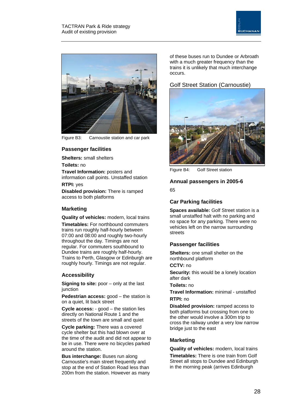

<span id="page-33-0"></span>

Figure B3: Carnoustie station and car park

#### **Passenger facilities**

**Shelters:** small shelters

**Toilets:** no

**Travel Information:** posters and information call points. Unstaffed station **RTPI:** yes

**Disabled provision:** There is ramped access to both platforms

#### **Marketing**

**Quality of vehicles:** modern, local trains

**Timetables:** For northbound commuters trains run roughly half-hourly between 07:00 and 08:00 and roughly two-hourly throughout the day. Timings are not regular. For commuters southbound to Dundee trains are roughly half-hourly. Trains to Perth, Glasgow or Edinburgh are roughly hourly. Timings are not regular.

#### **Accessibility**

**Signing to site:** poor – only at the last junction

**Pedestrian access:** good – the station is on a quiet, lit back street

**Cycle access:** - good – the station lies directly on National Route 1 and the streets of the town are small and quiet

**Cycle parking:** There was a covered cycle shelter but this had blown over at the time of the audit and did not appear to be in use. There were no bicycles parked around the station.

**Bus interchange:** Buses run along Carnoustie's main street frequently and stop at the end of Station Road less than 200m from the station. However as many of these buses run to Dundee or Arbroath with a much greater frequency than the trains it is unlikely that much interchange occurs.

#### Golf Street Station (Carnoustie)



Figure B4: Golf Street station

#### **Annual passengers in 2005-6**

65

#### **Car Parking facilities**

**Spaces available:** Golf Street station is a small unstaffed halt with no parking and no space for any parking. There were no vehicles left on the narrow surrounding streets

#### **Passenger facilities**

**Shelters:** one small shelter on the northbound platform

**CCTV:** no

**Security:** this would be a lonely location after dark

**Toilets:** no

**Travel Information:** minimal - unstaffed **RTPI:** no

**Disabled provision:** ramped access to both platforms but crossing from one to the other would involve a 300m trip to cross the railway under a very low narrow bridge just to the east

#### **Marketing**

**Quality of vehicles:** modern, local trains **Timetables:** There is one train from Golf Street all stops to Dundee and Edinburgh in the morning peak (arrives Edinburgh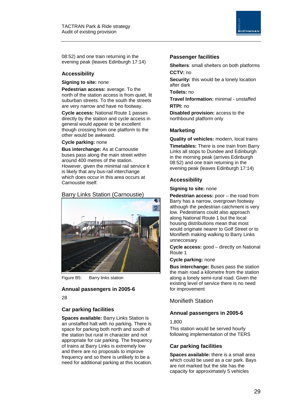

<span id="page-34-0"></span>08:52) and one train returning in the evening peak (leaves Edinburgh 17:14)

#### **Accessibility**

**Signing to site:** none

**Pedestrian access:** average. To the north of the station access is from quiet, lit suburban streets. To the south the streets are very narrow and have no footway.

**Cycle access:** National Route 1 passes directly by the station and cycle access in general would appear to be excellent though crossing from one platform to the other would be awkward.

#### **Cycle parking:** none

**Bus interchange:** As at Carnoustie buses pass along the main street within around 400 metres of the station. However, given the minimal rail service it is likely that any bus-rail interchange which does occur in this area occurs at Carnoustie itself.

# Barry Links Station (Carnoustie)



Figure B5: Barry links station

# **Annual passengers in 2005-6**

28

# **Car parking facilities**

**Spaces available:** Barry Links Station is an unstaffed halt with no parking. There is space for parking both north and south of the station but rural in character and not appropriate for car parking. The frequency of trains at Barry Links is extremely low and there are no proposals to improve frequency and so there is unlikely to be a need for additional parking at this location.

# **Passenger facilities**

**Shelters**: small shelters on both platforms **CCTV:** no

**Security:** this would be a lonely location after dark

**Toilets:** no

**Travel Information:** minimal - unstaffed **RTPI:** no

**Disabled provision:** access to the northbound platform only

# **Marketing**

**Quality of vehicles:** modern, local trains

**Timetables:** There is one train from Barry Links all stops to Dundee and Edinburgh in the morning peak (arrives Edinburgh 08:52) and one train returning in the evening peak (leaves Edinburgh 17:14)

# **Accessibility**

#### **Signing to site:** none

**Pedestrian access:** poor – the road from Barry has a narrow, overgrown footway although the pedestrian catchment is very low. Pedestrians could also approach along National Route 1 but the local housing distributions mean that most would originate nearer to Golf Street or to Monifieth making walking to Barry Links unneccesary

**Cycle access:** good – directly on National Route 1

#### **Cycle parking:** none

**Bus interchange:** Buses pass the station the main road a kilometre from the station along a lonely semi-rural road. Given the existing level of service there is no need for improvement

# Monifieth Station

#### **Annual passengers in 2005-6**

#### 1,800

This station would be served hourly following implementation of the TERS

# **Car parking facilities**

**Spaces available:** there is a small area which could be used as a car park. Bays are not marked but the site has the capacity for approximately 5 vehicles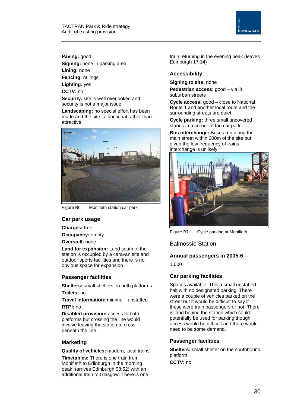

<span id="page-35-0"></span>Paving: good **Signing:** none in parking area **Lining:** none **Fencing:** railings **Lighting:** yes

**CCTV:** no

**Security:** site is well overlooked and security is not a major issue

**Landscaping:** no special effort has been made and the site is functional rather than attractive



Figure B6: Monifieth station car park

#### **Car park usage**

**Charges:** free

**Occupancy: empty** 

**Overspill:** none

**Land for expansion:** Land south of the station is occupied by a caravan site and outdoor sports facilities and there is no obvious space for expansion

#### **Passenger facilities**

**Shelters:** small shelters on both platforms

**Toilets:** no

**Travel Information:** minimal - unstaffed **RTPI:** no

**Disabled provision:** access to both platforms but crossing the line would involve leaving the station to cross beneath the line

#### **Marketing**

**Quality of vehicles:** modern, local trains

**Timetables:** There is one train from Monifieth to Edinburgh in the morning peak (arrives Edinburgh 08:52) with an additional train to Glasgow. There is one train returning in the evening peak (leaves Edinburgh 17:14)

#### **Accessibility**

**Signing to site:** none

**Pedestrian access:** good – via lit suburban streets

**Cycle access:** good – close to National Route 1 and another local route and the surrounding streets are quiet

**Cycle parking:** three small uncovered stands in a corner of the car park

**Bus interchange:** Buses run along the main street within 200m of the site but given the low frequency of trains interchange is unlikely



Figure B7: Cycle parking at Monifieth

Balmossie Station

#### **Annual passengers in 2005-6**

1,000

#### **Car parking facilities**

Spaces available: This a small unstaffed halt with no designated parking. There were a couple of vehicles parked on the street but it would be difficult to say if these were train passengers or not. There is land behind the station which could potentially be used for parking though access would be difficult and there would need to be some demand.

# **Passenger facilities**

**Shelters:** small shelter on the southbound platform **CCTV:** no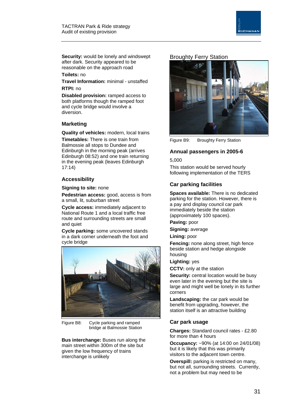

<span id="page-36-0"></span>**Security:** would be lonely and windswept after dark. Security appeared to be reasonable on the approach road

#### **Toilets:** no

**Travel Information:** minimal - unstaffed **RTPI:** no

**Disabled provision:** ramped access to both platforms though the ramped foot and cycle bridge would involve a diversion.

#### **Marketing**

**Quality of vehicles:** modern, local trains **Timetables:** There is one train from Balmossie all stops to Dundee and Edinburgh in the morning peak (arrives Edinburgh 08:52) and one train returning in the evening peak (leaves Edinburgh 17:14)

#### **Accessibility**

**Signing to site:** none

**Pedestrian access:** good, access is from a small, lit, suburban street

**Cycle access:** immediately adjacent to National Route 1 and a local traffic free route and surrounding streets are small and quiet

**Cycle parking:** some uncovered stands in a dark corner underneath the foot and cycle bridge



Figure B8: Cycle parking and ramped bridge at Balmossie Station

**Bus interchange:** Buses run along the main street within 300m of the site but given the low frequency of trains interchange is unlikely

# Broughty Ferry Station



Figure B9: Broughty Ferry Station

# **Annual passengers in 2005-6**

5,000

This station would be served hourly following implementation of the TERS

# **Car parking facilities**

**Spaces available:** There is no dedicated parking for the station. However, there is a pay and display council car park immediately beside the station (approximately 100 spaces).

**Paving:** poor

**Signing:** average

**Lining:** poor

**Fencing:** none along street, high fence beside station and hedge alongside housing

**Lighting:** yes

**CCTV:** only at the station

**Security:** central location would be busy even later in the evening but the site is large and might well be lonely in its further corners

**Landscaping:** the car park would be benefit from upgrading, however, the station itself is an attractive building

# **Car park usage**

**Charges:** Standard council rates - £2.80 for more than 4 hours

**Occupancy:** ~90% (at 14:00 on 24/01/08) but it is likely that this was primarily visitors to the adjacent town centre.

**Overspill:** parking is restricted on many, but not all, surrounding streets. Currently, not a problem but may need to be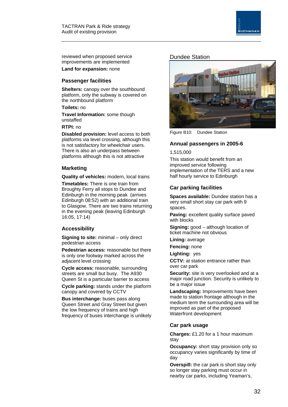

<span id="page-37-0"></span>reviewed when proposed service improvements are implemented **Land for expansion:** none

#### **Passenger facilities**

**Shelters:** canopy over the southbound platform, only the subway is covered on the northbound platform

#### **Toilets:** no

**Travel Information:** some though unstaffed

**RTPI:** no

**Disabled provision:** level access to both platforms via level crossing, although this is not satisfactory for wheelchair users. There is also an underpass between platforms although this is not attractive

#### **Marketing**

**Quality of vehicles:** modern, local trains

**Timetables:** There is one train from Broughty Ferry all stops to Dundee and Edinburgh in the morning peak (arrives Edinburgh 08:52) with an additional train to Glasgow. There are two trains returning in the evening peak (leaving Edinburgh 16:05, 17:14)

#### **Accessibility**

**Signing to site:** minimal – only direct pedestrian access

**Pedestrian access:** reasonable but there is only one footway marked across the adjacent level crossing

**Cycle access:** reasonable, surrounding streets are small but busy. The A930 Queen St is a particular barrier to access

**Cycle parking:** stands under the platform canopy and covered by CCTV

**Bus interchange:** buses pass along Queen Street and Gray Street but given the low frequency of trains and high frequency of buses interchange is unlikely

# Dundee Station



Figure B10: Dundee Station

#### **Annual passengers in 2005-6**

1,515,000

This station would benefit from an improved service following implementation of the TERS and a new half hourly service to Edinburgh

# **Car parking facilities**

**Spaces available:** Dundee station has a very small short stay car park with 9 spaces.

**Paving: excellent quality surface paved** with blocks

**Signing:** good – although location of ticket machine not obvious

**Lining:** average

**Fencing:** none

**Lighting:** yes

**CCTV:** at station entrance rather than over car park

**Security:** site is very overlooked and at a major road junction. Security is unlikely to be a major issue

**Landscaping:** Improvements have been made to station frontage although in the medium term the surrounding area will be improved as part of the proposed Waterfront development

#### **Car park usage**

**Charges:** £1.20 for a 1 hour maximum stay

**Occupancy:** short stay provision only so occupancy varies significantly by time of day

**Overspill:** the car park is short stay only so longer stay parking must occur in nearby car parks, including Yeaman's,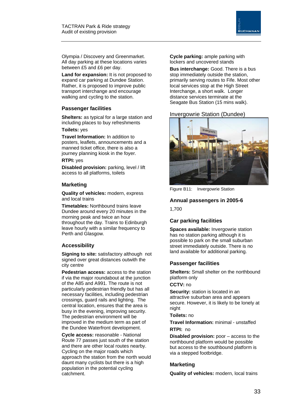

<span id="page-38-0"></span>Olympia / Discovery and Greenmarket. All day parking at these locations varies between £5 and £6 per day.

**Land for expansion:** It is not proposed to expand car parking at Dundee Station. Rather, it is proposed to improve public transport interchange and encourage walking and cycling to the station.

# **Passenger facilities**

**Shelters:** as typical for a large station and including places to buy refreshments

**Toilets:** yes

**Travel Information:** In addition to posters, leaflets, announcements and a manned ticket office, there is also a journey planning kiosk in the foyer.

#### **RTPI:** yes

**Disabled provision:** parking, level / lift access to all platforms, toilets

# **Marketing**

**Quality of vehicles:** modern, express and local trains

**Timetables:** Northbound trains leave Dundee around every 20 minutes in the morning peak and twice an hour throughout the day. Trains to Edinburgh leave hourly with a similar frequency to Perth and Glasgow.

# **Accessibility**

**Signing to site:** satisfactory although not signed over great distances outwith the city centre

**Pedestrian access:** access to the station if via the major roundabout at the junction of the A85 and A991. The route is not particularly pedestrian friendly but has all necessary facilities, including pedestrian crossings, guard rails and lighting. The central location, ensures that the area is busy in the evening, improving security. The pedestrian environment will be improved in the medium term as part of the Dundee Waterfront development.

**Cycle access:** reasonable - National Route 77 passes just south of the station and there are other local routes nearby. Cycling on the major roads which approach the station from the north would daunt many cyclists but there is a high population in the potential cycling catchment.

**Cycle parking:** ample parking with lockers and uncovered stands

**Bus interchange:** Good. There is a bus stop immediately outside the station, primarily serving routes to Fife. Most other local services stop at the High Street Interchange, a short walk. Longer distance services terminate at the Seagate Bus Station (15 mins walk).

# Invergowrie Station (Dundee)



Figure B11: Invergowrie Station

#### **Annual passengers in 2005-6**

1,700

# **Car parking facilities**

**Spaces available:** Invergowrie station has no station parking although it is possible to park on the small suburban street immediately outside. There is no land available for additional parking.

# **Passenger facilities**

**Shelters:** Small shelter on the northbound platform only

**CCTV:** no

**Security:** station is located in an attractive suburban area and appears secure. However, it is likely to be lonely at night

#### **Toilets:** no

**Travel Information:** minimal - unstaffed **RTPI:** no

**Disabled provision:** poor – access to the northbound platform would be possible but access to the southbound platform is via a stepped footbridge.

#### **Marketing**

**Quality of vehicles:** modern, local trains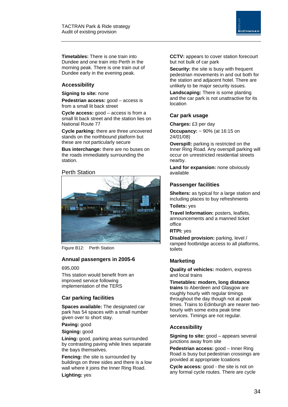

<span id="page-39-0"></span>**Timetables:** There is one train into Dundee and one train into Perth in the morning peak. There is one train out of Dundee early in the evening peak.

#### **Accessibility**

**Signing to site:** none

**Pedestrian access: good – access is** from a small lit back street

**Cycle access:** good – access is from a small lit back street and the station lies on National Route 77

**Cycle parking:** there are three uncovered stands on the northbound platform but these are not particularly secure

**Bus interchange:** there are no buses on the roads immediately surrounding the station.

#### Perth Station



Figure B12: Perth Station

# **Annual passengers in 2005-6**

695,000

This station would benefit from an improved service following implementation of the TERS

# **Car parking facilities**

**Spaces available:** The designated car park has 54 spaces with a small number given over to short stay.

Paving: good

**Signing:** good

**Lining:** good, parking areas surrounded by contrasting paving while lines separate the bays themselves.

**Fencing:** the site is surrounded by buildings on three sides and there is a low wall where it joins the Inner Ring Road.

#### **Lighting:** yes

**CCTV:** appears to cover station forecourt but not bulk of car park

**Security:** the site is busy with frequent pedestrian movements in and out both for the station and adjacent hotel. There are unlikely to be major security issues.

**Landscaping:** There is some planting and the car park is not unattractive for its location

#### **Car park usage**

**Charges:** £3 per day

**Occupancy:** ~ 90% (at 16:15 on 24/01/08)

**Overspill:** parking is restricted on the Inner Ring Road. Any overspill parking will occur on unrestricted residential streets nearby.

Land for expansion: none obviously available

#### **Passenger facilities**

**Shelters:** as typical for a large station and including places to buy refreshments **Toilets:** yes

**Travel Information:** posters, leaflets, announcements and a manned ticket office

**RTPI:** yes

**Disabled provision:** parking, level / ramped footbridge access to all platforms, toilets

# **Marketing**

**Quality of vehicles:** modern, express and local trains

**Timetables: modern, long distance trains** to Aberdeen and Glasgow are roughly hourly with regular timings throughout the day though not at peak times. Trains to Edinburgh are nearer twohourly with some extra peak time services. Timings are not regular.

#### **Accessibility**

**Signing to site:** good – appears several junctions away from site

**Pedestrian access:** good – Inner Ring Road is busy but pedestrian crossings are provided at appropriate lcoations

**Cycle access:** good - the site is not on any formal cycle routes. There are cycle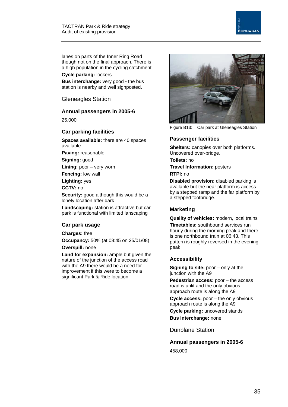

<span id="page-40-0"></span>lanes on parts of the Inner Ring Road though not on the final approach. There is a high population in the cycling catchment

#### **Cycle parking:** lockers

**Bus interchange:** very good **-** the bus station is nearby and well signposted.

Gleneagles Station

# **Annual passengers in 2005-6**

25,000

#### **Car parking facilities**

**Spaces available:** there are 40 spaces available

**Paving:** reasonable

**Signing:** good

**Lining:** poor – very worn

**Fencing:** low wall

**Lighting:** yes

**CCTV:** no

**Security:** good although this would be a lonely location after dark

**Landscaping:** station is attractive but car park is functional with limited lanscaping

#### **Car park usage**

**Charges:** free

**Occupancy:** 50% (at 08:45 on 25/01/08)

**Overspill:** none

**Land for expansion:** ample but given the nature of the junction of the access road with the A9 there would be a need for improvement if this were to become a significant Park & Ride location.



Figure B13: Car park at Gleneagles Station

#### **Passenger facilities**

**Shelters:** canopies over both platforms. Uncovered over-bridge.

**Toilets:** no

**Travel Information:** posters

#### **RTPI:** no

**Disabled provision:** disabled parking is available but the near platform is access by a stepped ramp and the far platform by a stepped footbridge.

# **Marketing**

**Quality of vehicles:** modern, local trains

**Timetables:** southbound services run hourly during the morning peak and there is one northbound train at 06:43. This pattern is roughly reversed in the evening peak

# **Accessibility**

**Signing to site:** poor – only at the junction with the A9

**Pedestrian access:** poor – the access road is unlit and the only obvious approach route is along the A9

**Cycle access:** poor – the only obvious approach route is along the A9

**Cycle parking:** uncovered stands **Bus interchange:** none

Dunblane Station

**Annual passengers in 2005-6**  458,000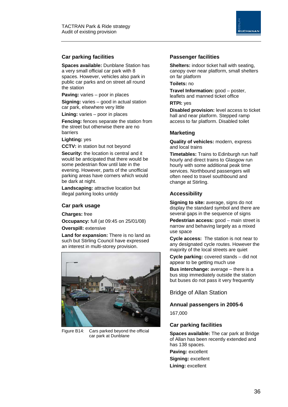

# <span id="page-41-0"></span>**Car parking facilities**

**Spaces available:** Dunblane Station has a very small official car park with 8 spaces. However, vehicles also park in public car parks and on street all round the station

**Paving:** varies – poor in places

**Signing:** varies – good in actual station car park, elsewhere very little

**Lining:** varies – poor in places

**Fencing:** fences separate the station from the street but otherwise there are no **barriers** 

**Lighting:** yes

**CCTV:** in station but not beyond

**Security:** the location is central and it would be anticipated that there would be some pedestrian flow until late in the evening. However, parts of the unofficial parking areas have corners which would be dark at night.

**Landscaping:** attractive location but illegal parking looks untidy

#### **Car park usage**

**Charges:** free

**Occupancy:** full (at 09:45 on 25/01/08) **Overspill:** extensive

**Land for expansion:** There is no land as such but Stirling Council have expressed an interest in multi-storey provision.



Figure B14: Cars parked beyond the official car park at Dunblane

# **Passenger facilities**

**Shelters:** indoor ticket hall with seating, canopy over near platform, small shelters on far platform

#### **Toilets:** no

**Travel Information:** good – poster, leaflets and manned ticket office

#### **RTPI:** yes

**Disabled provision:** level access to ticket hall and near platform. Stepped ramp access to far platform. Disabled toilet

# **Marketing**

**Quality of vehicles:** modern, express and local trains

**Timetables:** Trains to Edinburgh run half hourly and direct trains to Glasgow run hourly with some additional peak time services. Northbound passengers will often need to travel southbound and change at Stirling.

#### **Accessibility**

**Signing to site:** average, signs do not display the standard symbol and there are several gaps in the sequence of signs

**Pedestrian access:** good – main street is narrow and behaving largely as a mixed use space

**Cycle access:** The station is not near to any designated cycle routes. However the majority of the local streets are quiet

**Cycle parking:** covered stands – did not appear to be getting much use

**Bus interchange:** average – there is a bus stop immediately outside the station but buses do not pass it very frequently

Bridge of Allan Station

#### **Annual passengers in 2005-6**

167,000

# **Car parking facilities**

**Spaces available:** The car park at Bridge of Allan has been recently extended and has 138 spaces.

**Paving:** excellent

**Signing:** excellent **Lining:** excellent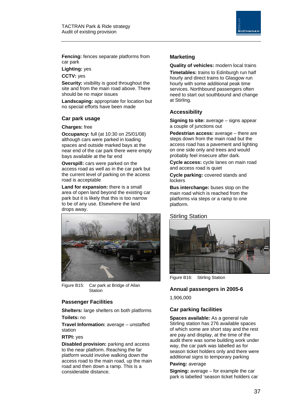

<span id="page-42-0"></span>**Fencing:** fences separate platforms from car park

**Lighting:** yes

**CCTV:** yes

**Security:** visibility is good throughout the site and from the main road above. There should be no major issues

**Landscaping:** appropriate for location but no special efforts have been made

#### **Car park usage**

**Charges:** free

**Occupancy:** full (at 10:30 on 25/01/08) although cars were parked in loading spaces and outside marked bays at the near end of the car park there were empty bays available at the far end

**Overspill:** cars were parked on the access road as well as in the car park but the current level of parking on the access road is acceptable

**Land for expansion:** there is a small area of open land beyond the existing car park but it is likely that this is too narrow to be of any use. Elsewhere the land drops away.



Figure B15: Car park at Bridge of Allan **Station** 

# **Passenger Facilities**

**Shelters:** large shelters on both platforms **Toilets:** no

**Travel Information:** average – unstaffed station

#### **RTPI:** yes

**Disabled provision:** parking and access to the near platform. Reaching the far platform would involve walking down the access road to the main road, up the main road and then down a ramp. This is a considerable distance.

# **Marketing**

**Quality of vehicles:** modern local trains

**Timetables:** trains to Edinburgh run half hourly and direct trains to Glasgow run hourly with some additional peak time services. Northbound passengers often need to start out southbound and change at Stirling.

# **Accessibility**

**Signing to site:** average – signs appear a couple of junctions out

**Pedestrian access:** average – there are steps down from the main road but the access road has a pavement and lighting on one side only and trees and would probably feel insecure after dark.

**Cycle access:** cycle lanes on main road and access road is quiet

**Cycle parking:** covered stands and lockers

**Bus interchange:** buses stop on the main road which is reached from the platforms via steps or a ramp to one platform.

# Stirling Station



Figure B16: Stirling Station

# **Annual passengers in 2005-6**

1,906,000

# **Car parking facilities**

**Spaces available:** As a general rule Stirling station has 276 available spaces of which some are short stay and the rest are pay and display, at the time of the audit there was some building work under way, the car park was labelled as for season ticket holders only and there were additional signs to temporary parking

#### **Paving:** average

**Signing:** average – for example the car park is labelled 'season ticket holders car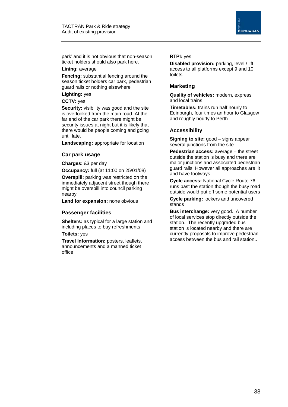

park' and it is not obvious that non-season ticket holders should also park here.

#### **Lining:** average

**Fencing:** substantial fencing around the season ticket holders car park, pedestrian guard rails or nothing elsewhere

# **Lighting:** yes

#### **CCTV:** yes

**Security:** visibility was good and the site is overlooked from the main road. At the far end of the car park there might be security issues at night but it is likely that there would be people coming and going until late.

**Landscaping:** appropriate for location

#### **Car park usage**

**Charges:** £3 per day

**Occupancy:** full (at 11:00 on 25/01/08)

**Overspill:** parking was restricted on the immediately adjacent street though there might be overspill into council parking nearby

**Land for expansion:** none obvious

# **Passenger facilities**

**Shelters:** as typical for a large station and including places to buy refreshments

**Toilets:** yes

**Travel Information:** posters, leaflets, announcements and a manned ticket **office** 

#### **RTPI:** yes

**Disabled provision:** parking, level / lift access to all platforms except 9 and 10, toilets

# **Marketing**

**Quality of vehicles:** modern, express and local trains

**Timetables:** trains run half hourly to Edinburgh, four times an hour to Glasgow and roughly hourly to Perth

# **Accessibility**

**Signing to site:** good – signs appear several junctions from the site

**Pedestrian access:** average – the street outside the station is busy and there are major junctions and associated pedestrian guard rails. However all approaches are lit and have footways.

**Cycle access:** National Cycle Route 76 runs past the station though the busy road outside would put off some potential users

**Cycle parking:** lockers and uncovered stands

**Bus interchange:** very good. A number of local services stop directly outside the station. The recently upgraded bus station is located nearby and there are currently proposals to improve pedestrian access between the bus and rail station..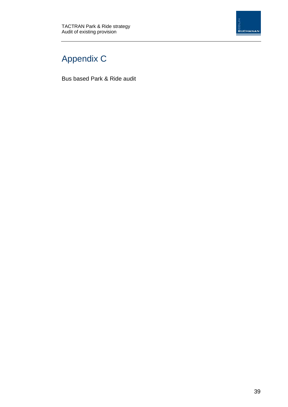

# <span id="page-44-0"></span>Appendix C

Bus based Park & Ride audit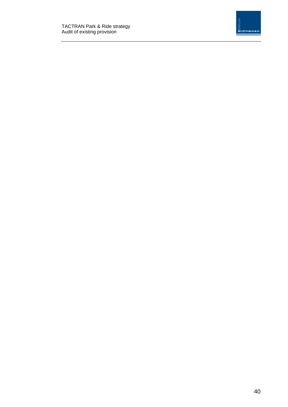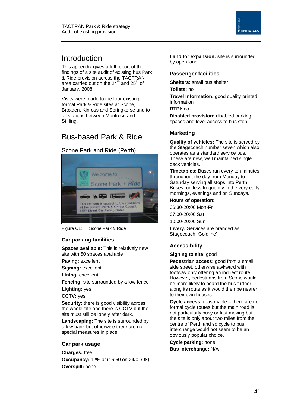

# <span id="page-46-0"></span>Introduction

This appendix gives a full report of the findings of a site audit of existing bus Park & Ride provision across the TACTRAN area carried out on the  $24<sup>th</sup>$  and  $25<sup>th</sup>$  of January, 2008.

Visits were made to the four existing formal Park & Ride sites at Scone, Broxden, Kinross and Springkerse and to all stations between Montrose and Stirling.

# Bus-based Park & Ride

# Scone Park and Ride (Perth)



Figure C1: Scone Park & Ride

# **Car parking facilities**

**Spaces available:** This is relatively new site with 50 spaces available

**Paving:** excellent

**Signing:** excellent

**Lining:** excellent

**Fencing:** site surrounded by a low fence

**Lighting:** yes

# **CCTV:** yes

**Security:** there is good visibility across the whole site and there is CCTV but the site must still be lonely after dark.

**Landscaping:** The site is surrounded by a low bank but otherwise there are no special measures in place

# **Car park usage**

**Charges:** free

**Occupancy:** 12% at (16:50 on 24/01/08) **Overspill:** none

**Land for expansion:** site is surrounded by open land

# **Passenger facilities**

**Shelters:** small bus shelter

**Toilets:** no

**Travel Information:** good quality printed information

**RTPI:** no

**Disabled provision:** disabled parking spaces and level access to bus stop.

# **Marketing**

**Quality of vehicles:** The site is served by the Stagecoach number seven which also operates as a standard service bus. These are new, well maintained single deck vehicles.

**Timetables:** Buses run every ten minutes throughout the day from Monday to Saturday serving all stops into Perth. Buses run less frequently in the very early mornings, evenings and on Sundays.

#### **Hours of operation:**

06:30-20:00 Mon-Fri 07:00-20:00 Sat

10:00-20:00 Sun

**Livery:** Services are branded as Stagecoach "Goldline"

# **Accessibility**

# **Signing to site:** good

**Pedestrian access:** good from a small side street, otherwise awkward with footway only offering an indirect route. However, pedestrians from Scone would be more likely to board the bus further along its route as it would then be nearer to their own houses.

**Cycle access:** reasonable – there are no formal cycle routes but the main road is not particularly busy or fast moving but the site is only about two miles from the centre of Perth and so cycle to bus interchange would not seem to be an obviously popular choice.

**Cycle parking:** none **Bus interchange:** N/A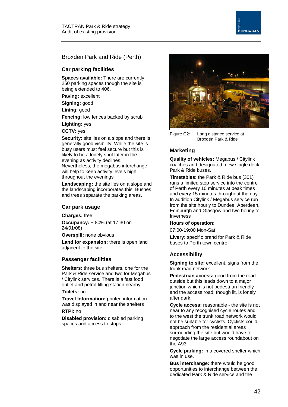

# <span id="page-47-0"></span>Broxden Park and Ride (Perth)

#### **Car parking facilities**

**Spaces available:** There are currently 250 parking spaces though the site is being extended to 406.

**Paving:** excellent

**Signing:** good

**Lining:** good

Fencing: low fences backed by scrub

**Lighting:** yes

**CCTV:** yes

**Security:** site lies on a slope and there is generally good visibility. While the site is busy users must feel secure but this is likely to be a lonely spot later in the evening as activity declines. Nevertheless, the megabus interchange will help to keep activity levels high throughout the evenings

**Landscaping:** the site lies on a slope and the landscaping incorporates this. Bushes and trees separate the parking areas.

#### **Car park usage**

**Charges:** free

**Occupancy:** ~ 80% (at 17:30 on 24/01/08)

**Overspill:** none obvious

**Land for expansion:** there is open land adjacent to the site.

#### **Passenger facilities**

**Shelters:** three bus shelters, one for the Park & Ride service and two for Megabus / Citylink services. There is a fast food outlet and petrol filling station nearby.

#### **Toilets:** no

**Travel Information:** printed information was displayed in and near the shelters

#### **RTPI:** no

**Disabled provision:** disabled parking spaces and access to stops



Figure C2: Long distance service at Broxden Park & Ride

#### **Marketing**

**Quality of vehicles:** Megabus / Citylink coaches and designated, new single deck Park & Ride buses.

**Timetables:** the Park & Ride bus (301) runs a limited stop service into the centre of Perth every 10 minutes at peak times and every 15 minutes throughout the day. In addition Citylink / Megabus service run from the site hourly to Dundee, Aberdeen, Edinburgh and Glasgow and two hourly to Inverness

#### **Hours of operation:**

07:00-19:00 Mon-Sat

**Livery:** specific brand for Park & Ride buses to Perth town centre

#### **Accessibility**

**Signing to site:** excellent, signs from the trunk road network

**Pedestrian access: good from the road** outside but this leads down to a major junction which is not pedestrian friendly and the access road, though lit, is lonely after dark.

**Cycle access:** reasonable - the site is not near to any recognised cycle routes and to the west the trunk road network would not be suitable for cyclists. Cyclists could approach from the residential areas surrounding the site but would have to negotiate the large access roundabout on the A93.

**Cycle parking:** in a covered shelter which was in use.

**Bus interchange:** there would be good opportunities to interchange between the dedicated Park & Ride service and the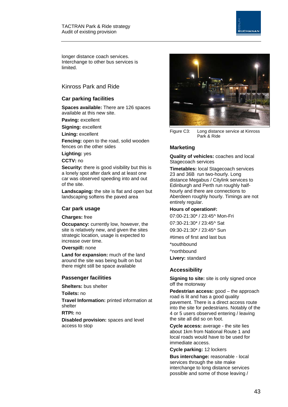

<span id="page-48-0"></span>longer distance coach services. Interchange to other bus services is limited.

# Kinross Park and Ride

#### **Car parking facilities**

**Spaces available:** There are 126 spaces available at this new site.

**Paving:** excellent

**Signing:** excellent

**Lining:** excellent

**Fencing:** open to the road, solid wooden fences on the other sides

**Lighting:** yes

#### **CCTV:** no

**Security:** there is good visibility but this is a lonely spot after dark and at least one car was observed speeding into and out of the site.

**Landscaping:** the site is flat and open but landscaping softens the paved area

#### **Car park usage**

#### **Charges:** free

**Occupancy:** currently low, however, the site is relatively new, and given the sites strategic location, usage is expected to increase over time.

#### **Overspill:** none

**Land for expansion:** much of the land around the site was being built on but there might still be space available

#### **Passenger facilities**

**Shelters:** bus shelter

**Toilets:** no

**Travel Information:** printed information at shelter

**RTPI:** no

**Disabled provision:** spaces and level access to stop



Figure C3: Long distance service at Kinross Park & Ride

# **Marketing**

**Quality of vehicles:** coaches and local Stagecoach services

**Timetables:** local Stagecoach services 23 and 36B run two-hourly. Long distance Megabus / Citylink services to Edinburgh and Perth run roughly halfhourly and there are connections to Aberdeen roughly hourly. Timings are not entirely regular.

#### **Hours of operation#:**

07:00-21:30\* / 23:45^ Mon-Fri 07:30-21:30\* / 23:45^ Sat 09:30-21:30\* / 23:45^ Sun #times of first and last bus \*southbound ^northbound **Livery:** standard

# **Accessibility**

**Signing to site:** site is only signed once off the motorway

**Pedestrian access:** good – the approach road is lit and has a good quality pavement. There is a direct access route into the site for pedestrians. Notably of the 4 or 5 users observed entering / leaving the site all did so on foot.

**Cycle access:** average - the site lies about 1km from National Route 1 and local roads would have to be used for immediate access.

**Cycle parking:** 12 lockers

**Bus interchange:** reasonable - local services through the site make interchange to long distance services possible and some of those leaving /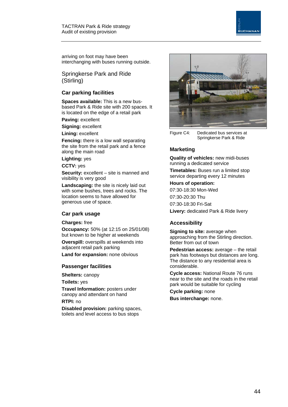

<span id="page-49-0"></span>arriving on foot may have been interchanging with buses running outside.

Springkerse Park and Ride (Stirling)

#### **Car parking facilities**

**Spaces available:** This is a new busbased Park & Ride site with 200 spaces. It is located on the edge of a retail park

**Paving:** excellent

**Signing:** excellent

**Lining:** excellent

**Fencing:** there is a low wall separating the site from the retail park and a fence along the main road

**Lighting:** yes

**CCTV:** yes

**Security:** excellent – site is manned and visibility is very good

**Landscaping:** the site is nicely laid out with some bushes, trees and rocks. The location seems to have allowed for generous use of space.

#### **Car park usage**

**Charges:** free

**Occupancy:** 50% (at 12:15 on 25/01/08) but known to be higher at weekends

**Overspill:** overspills at weekends into adjacent retail park parking

**Land for expansion:** none obvious

#### **Passenger facilities**

**Shelters:** canopy

**Toilets:** yes

**Travel Information:** posters under canopy and attendant on hand

**RTPI:** no

**Disabled provision:** parking spaces, toilets and level access to bus stops



Figure C4: Dedicated bus services at Springkerse Park & Ride

#### **Marketing**

**Quality of vehicles:** new midi-buses running a dedicated service

**Timetables:** Buses run a limited stop service departing every 12 minutes

**Hours of operation:** 

07:30-18:30 Mon-Wed

07:30-20:30 Thu

07:30-18:30 Fri-Sat

**Livery:** dedicated Park & Ride livery

# **Accessibility**

**Signing to site:** average when approaching from the Stirling direction. Better from out of town

**Pedestrian access:** average – the retail park has footways but distances are long. The distance to any residential area is considerable.

**Cycle access:** National Route 76 runs near to the site and the roads in the retail park would be suitable for cycling

**Cycle parking:** none **Bus interchange:** none.